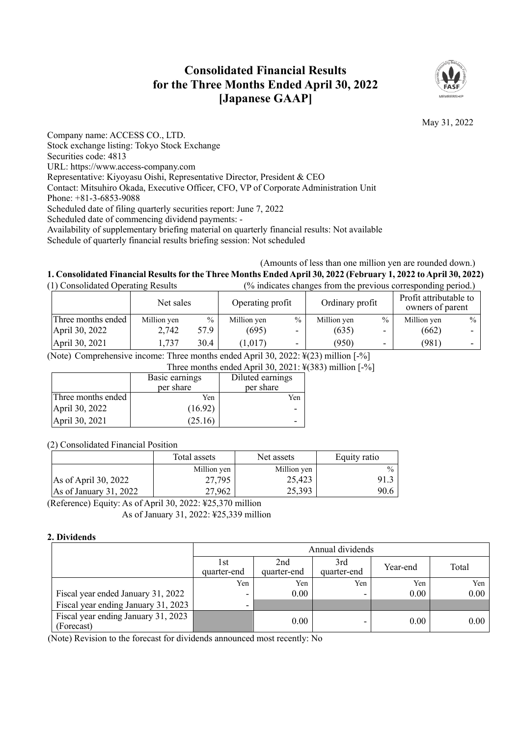## **Consolidated Financial Results for the Three Months Ended April 30, 2022 [Japanese GAAP]**



May 31, 2022

Company name: ACCESS CO., LTD. Stock exchange listing: Tokyo Stock Exchange Securities code: 4813 URL: https://www.access-company.com Representative: Kiyoyasu Oishi, Representative Director, President & CEO Contact: Mitsuhiro Okada, Executive Officer, CFO, VP of Corporate Administration Unit Phone: +81-3-6853-9088 Scheduled date of filing quarterly securities report: June 7, 2022 Scheduled date of commencing dividend payments: - Availability of supplementary briefing material on quarterly financial results: Not available

Schedule of quarterly financial results briefing session: Not scheduled

(Amounts of less than one million yen are rounded down.) **1. Consolidated Financial Results for the Three Months Ended April 30, 2022 (February 1, 2022 to April 30, 2022)** (1) Consolidated Operating Results (% indicates changes from the previous corresponding period.)

| 17 Consondated Operating Results |             |               | $\frac{1}{20}$ marcates enanges from the previous corresponding period. |  |                 |                          |                                            |               |
|----------------------------------|-------------|---------------|-------------------------------------------------------------------------|--|-----------------|--------------------------|--------------------------------------------|---------------|
|                                  | Net sales   |               | Operating profit                                                        |  | Ordinary profit |                          | Profit attributable to<br>owners of parent |               |
| Three months ended               | Million yen | $\frac{0}{0}$ | Million yen                                                             |  | Million yen     | $\frac{0}{0}$            | Million yen                                | $\frac{0}{0}$ |
| April 30, 2022                   | 2,742       | 57.9          | (695)                                                                   |  | (635)           | $\overline{\phantom{0}}$ | (662)                                      |               |
| April 30, 2021                   | 1,737       | 30.4          | (1,017)                                                                 |  | (950)           |                          | (981)                                      |               |

(Note) Comprehensive income: Three months ended April 30, 2022: ¥(23) million [-%]

Three months ended April 30, 2021: ¥(383) million [-%]

|                    | Basic earnings<br>per share | Diluted earnings<br>per share |
|--------------------|-----------------------------|-------------------------------|
| Three months ended | Yen                         | Yen                           |
| April 30, 2022     | (16.92)                     | -                             |
| April 30, 2021     | (25.16)                     |                               |

(2) Consolidated Financial Position

|                        | Total assets | Net assets  | Equity ratio  |  |
|------------------------|--------------|-------------|---------------|--|
|                        | Million yen  | Million yen | $\frac{0}{0}$ |  |
| As of April 30, 2022   | 27,795       | 25,423      | 91.3          |  |
| As of January 31, 2022 | 27,962       | 25,393      | 90.6          |  |

(Reference) Equity: As of April 30, 2022: ¥25,370 million

As of January 31, 2022: ¥25,339 million

### **2. Dividends**

|                                                   | Annual dividends    |                    |                          |          |          |
|---------------------------------------------------|---------------------|--------------------|--------------------------|----------|----------|
|                                                   | l st<br>quarter-end | 2nd<br>quarter-end | 3rd<br>quarter-end       | Year-end | Total    |
|                                                   | Yen                 | Yen                | Yen                      | Yen      | Yen      |
| Fiscal year ended January 31, 2022                | -                   | 0.00               | $\overline{\phantom{0}}$ | 0.00     | $0.00\,$ |
| Fiscal year ending January 31, 2023               | -                   |                    |                          |          |          |
| Fiscal year ending January 31, 2023<br>(Forecast) |                     | 0.00               | -                        | 0.00     | $0.00\,$ |

(Note) Revision to the forecast for dividends announced most recently: No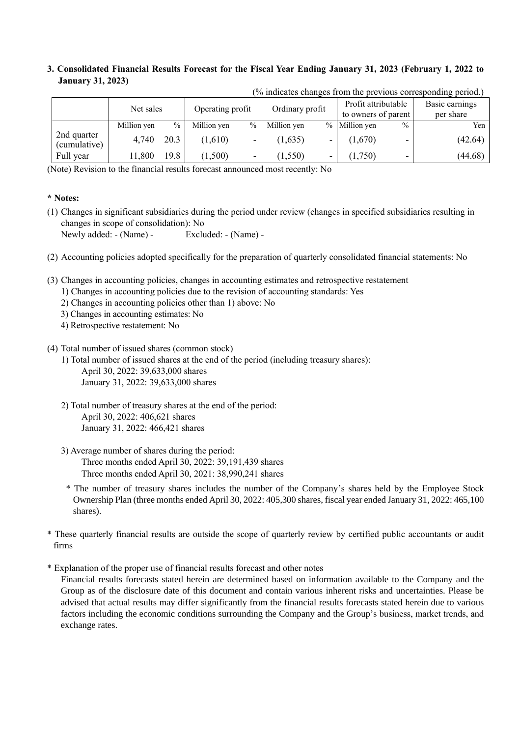### **3. Consolidated Financial Results Forecast for the Fiscal Year Ending January 31, 2023 (February 1, 2022 to January 31, 2023)**

|                             | Net sales   |               | Operating profit |               | Ordinary profit | Profit attributable<br>to owners of parent |               | ັ<br>Basic earnings<br>per share |
|-----------------------------|-------------|---------------|------------------|---------------|-----------------|--------------------------------------------|---------------|----------------------------------|
|                             | Million yen | $\frac{0}{0}$ | Million yen      | $\frac{0}{0}$ | Million yen     | % Million yen                              | $\frac{0}{0}$ | Yen                              |
| 2nd quarter<br>(cumulative) | 4,740       | 20.3          | (1,610)          |               | (1,635)         | (1,670)                                    |               | (42.64)                          |
| Full year                   | 11,800      | 19.8          | (1,500)          |               | (1, 550)        | (1,750)                                    |               | (44.68)                          |

(% indicates changes from the previous corresponding period.)

(Note) Revision to the financial results forecast announced most recently: No

#### **\* Notes:**

(1) Changes in significant subsidiaries during the period under review (changes in specified subsidiaries resulting in changes in scope of consolidation): No

Newly added: - (Name) - Excluded: - (Name) -

- (2) Accounting policies adopted specifically for the preparation of quarterly consolidated financial statements: No
- (3) Changes in accounting policies, changes in accounting estimates and retrospective restatement
	- 1) Changes in accounting policies due to the revision of accounting standards: Yes
	- 2) Changes in accounting policies other than 1) above: No
	- 3) Changes in accounting estimates: No
	- 4) Retrospective restatement: No

(4) Total number of issued shares (common stock)

- 1) Total number of issued shares at the end of the period (including treasury shares): April 30, 2022: 39,633,000 shares January 31, 2022: 39,633,000 shares
- 2) Total number of treasury shares at the end of the period: April 30, 2022: 406,621 shares January 31, 2022: 466,421 shares
- 3) Average number of shares during the period: Three months ended April 30, 2022: 39,191,439 shares Three months ended April 30, 2021: 38,990,241 shares
	- \* The number of treasury shares includes the number of the Company's shares held by the Employee Stock Ownership Plan (three months ended April 30, 2022: 405,300 shares, fiscal year ended January 31, 2022: 465,100 shares).
- \* These quarterly financial results are outside the scope of quarterly review by certified public accountants or audit firms

\* Explanation of the proper use of financial results forecast and other notes

Financial results forecasts stated herein are determined based on information available to the Company and the Group as of the disclosure date of this document and contain various inherent risks and uncertainties. Please be advised that actual results may differ significantly from the financial results forecasts stated herein due to various factors including the economic conditions surrounding the Company and the Group's business, market trends, and exchange rates.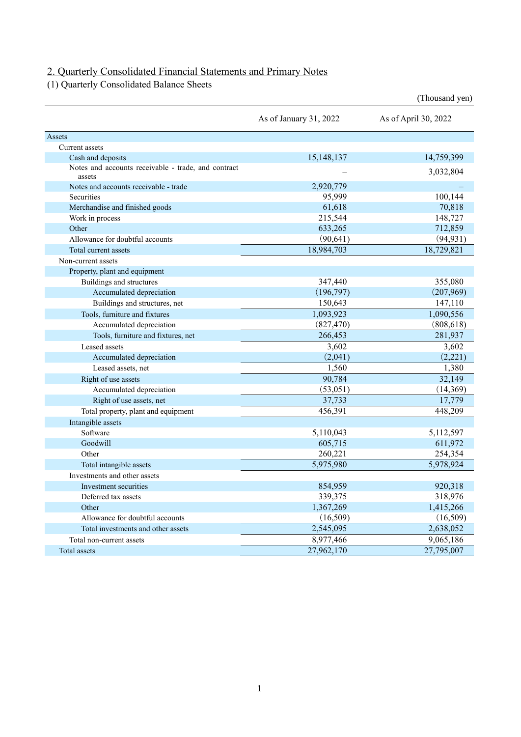# 2. Quarterly Consolidated Financial Statements and Primary Notes

(1) Quarterly Consolidated Balance Sheets

|                                                               |                        | (Thousand yen)       |
|---------------------------------------------------------------|------------------------|----------------------|
|                                                               | As of January 31, 2022 | As of April 30, 2022 |
| Assets                                                        |                        |                      |
| Current assets                                                |                        |                      |
| Cash and deposits                                             | 15,148,137             | 14,759,399           |
| Notes and accounts receivable - trade, and contract<br>assets |                        | 3,032,804            |
| Notes and accounts receivable - trade                         | 2,920,779              |                      |
| Securities                                                    | 95,999                 | 100,144              |
| Merchandise and finished goods                                | 61,618                 | 70,818               |
| Work in process                                               | 215,544                | 148,727              |
| Other                                                         | 633,265                | 712,859              |
| Allowance for doubtful accounts                               | (90, 641)              | (94, 931)            |
| Total current assets                                          | 18,984,703             | 18,729,821           |
| Non-current assets                                            |                        |                      |
| Property, plant and equipment                                 |                        |                      |
| Buildings and structures                                      | 347,440                | 355,080              |
| Accumulated depreciation                                      | (196,797)              | (207,969)            |
| Buildings and structures, net                                 | 150,643                | 147,110              |
| Tools, furniture and fixtures                                 | 1,093,923              | 1,090,556            |
| Accumulated depreciation                                      | (827, 470)             | (808, 618)           |
| Tools, furniture and fixtures, net                            | 266,453                | 281,937              |
| Leased assets                                                 | 3,602                  | 3,602                |
| Accumulated depreciation                                      | (2,041)                | (2,221)              |
| Leased assets, net                                            | 1,560                  | 1,380                |
| Right of use assets                                           | 90,784                 | 32,149               |
| Accumulated depreciation                                      | (53,051)               | (14,369)             |
| Right of use assets, net                                      | 37,733                 | 17,779               |
| Total property, plant and equipment                           | 456,391                | 448,209              |
| Intangible assets                                             |                        |                      |
| Software                                                      | 5,110,043              | 5,112,597            |
| Goodwill                                                      | 605,715                | 611,972              |
| Other                                                         | 260,221                | 254,354              |
| Total intangible assets                                       | 5,975,980              | 5,978,924            |
| Investments and other assets                                  |                        |                      |
| Investment securities                                         | 854,959                | 920,318              |
| Deferred tax assets                                           | 339,375                | 318,976              |
| Other                                                         | 1,367,269              | 1,415,266            |
| Allowance for doubtful accounts                               | (16,509)               | (16, 509)            |
| Total investments and other assets                            | 2,545,095              | 2,638,052            |
| Total non-current assets                                      | 8,977,466              | 9,065,186            |
| Total assets                                                  | 27,962,170             | 27,795,007           |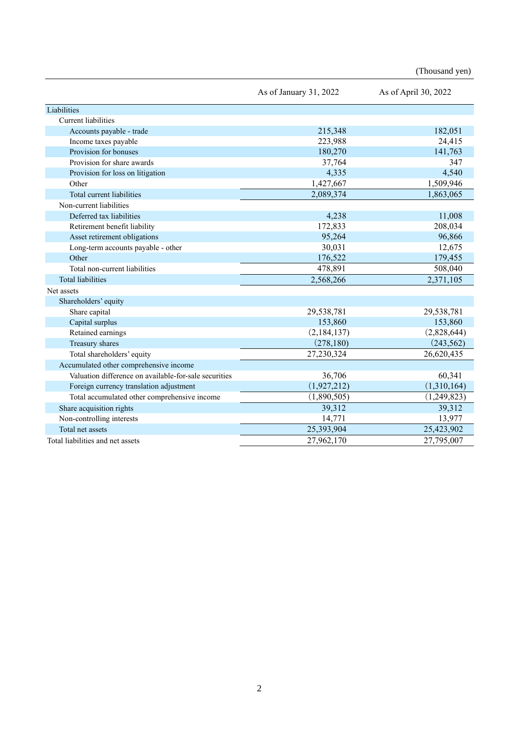(Thousand yen)

|                                                       | As of January 31, 2022 | As of April 30, 2022 |
|-------------------------------------------------------|------------------------|----------------------|
| Liabilities                                           |                        |                      |
| <b>Current</b> liabilities                            |                        |                      |
| Accounts payable - trade                              | 215,348                | 182,051              |
| Income taxes payable                                  | 223,988                | 24,415               |
| Provision for bonuses                                 | 180,270                | 141,763              |
| Provision for share awards                            | 37,764                 | 347                  |
| Provision for loss on litigation                      | 4,335                  | 4,540                |
| Other                                                 | 1,427,667              | 1,509,946            |
| Total current liabilities                             | 2,089,374              | 1,863,065            |
| Non-current liabilities                               |                        |                      |
| Deferred tax liabilities                              | 4,238                  | 11,008               |
| Retirement benefit liability                          | 172,833                | 208,034              |
| Asset retirement obligations                          | 95,264                 | 96,866               |
| Long-term accounts payable - other                    | 30,031                 | 12,675               |
| Other                                                 | 176,522                | 179,455              |
| Total non-current liabilities                         | 478,891                | 508,040              |
| <b>Total liabilities</b>                              | 2,568,266              | 2,371,105            |
| Net assets                                            |                        |                      |
| Shareholders' equity                                  |                        |                      |
| Share capital                                         | 29,538,781             | 29,538,781           |
| Capital surplus                                       | 153,860                | 153,860              |
| Retained earnings                                     | (2,184,137)            | (2,828,644)          |
| Treasury shares                                       | (278, 180)             | (243, 562)           |
| Total shareholders' equity                            | 27,230,324             | 26,620,435           |
| Accumulated other comprehensive income                |                        |                      |
| Valuation difference on available-for-sale securities | 36,706                 | 60,341               |
| Foreign currency translation adjustment               | (1,927,212)            | (1,310,164)          |
| Total accumulated other comprehensive income          | (1,890,505)            | (1,249,823)          |
| Share acquisition rights                              | 39,312                 | 39,312               |
| Non-controlling interests                             | 14,771                 | 13,977               |
| Total net assets                                      | 25,393,904             | 25,423,902           |
| Total liabilities and net assets                      | 27,962,170             | 27,795,007           |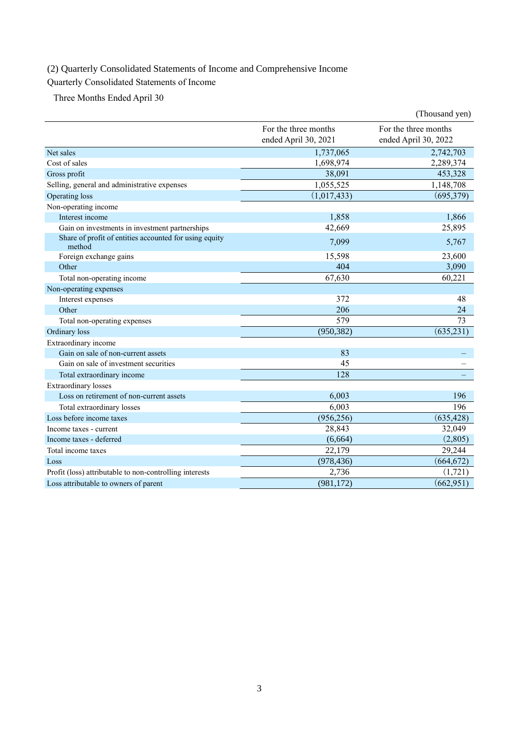## (2) Quarterly Consolidated Statements of Income and Comprehensive Income

## Quarterly Consolidated Statements of Income

Three Months Ended April 30

|                                                                  |                                              | (Thousand yen)                               |
|------------------------------------------------------------------|----------------------------------------------|----------------------------------------------|
|                                                                  | For the three months<br>ended April 30, 2021 | For the three months<br>ended April 30, 2022 |
| Net sales                                                        | 1,737,065                                    | 2,742,703                                    |
| Cost of sales                                                    | 1,698,974                                    | 2,289,374                                    |
| Gross profit                                                     | 38,091                                       | 453,328                                      |
| Selling, general and administrative expenses                     | 1,055,525                                    | 1,148,708                                    |
| Operating loss                                                   | (1,017,433)                                  | (695, 379)                                   |
| Non-operating income                                             |                                              |                                              |
| Interest income                                                  | 1,858                                        | 1,866                                        |
| Gain on investments in investment partnerships                   | 42,669                                       | 25,895                                       |
| Share of profit of entities accounted for using equity<br>method | 7,099                                        | 5,767                                        |
| Foreign exchange gains                                           | 15,598                                       | 23,600                                       |
| Other                                                            | 404                                          | 3,090                                        |
| Total non-operating income                                       | 67,630                                       | 60,221                                       |
| Non-operating expenses                                           |                                              |                                              |
| Interest expenses                                                | 372                                          | 48                                           |
| Other                                                            | 206                                          | 24                                           |
| Total non-operating expenses                                     | 579                                          | 73                                           |
| Ordinary loss                                                    | (950, 382)                                   | (635, 231)                                   |
| Extraordinary income                                             |                                              |                                              |
| Gain on sale of non-current assets                               | 83                                           |                                              |
| Gain on sale of investment securities                            | 45                                           |                                              |
| Total extraordinary income                                       | 128                                          |                                              |
| <b>Extraordinary</b> losses                                      |                                              |                                              |
| Loss on retirement of non-current assets                         | 6,003                                        | 196                                          |
| Total extraordinary losses                                       | 6,003                                        | 196                                          |
| Loss before income taxes                                         | (956, 256)                                   | (635, 428)                                   |
| Income taxes - current                                           | 28,843                                       | 32,049                                       |
| Income taxes - deferred                                          | (6,664)                                      | (2,805)                                      |
| Total income taxes                                               | 22,179                                       | 29,244                                       |
| Loss                                                             | (978, 436)                                   | (664, 672)                                   |
| Profit (loss) attributable to non-controlling interests          | 2,736                                        | (1,721)                                      |
| Loss attributable to owners of parent                            | (981, 172)                                   | (662, 951)                                   |